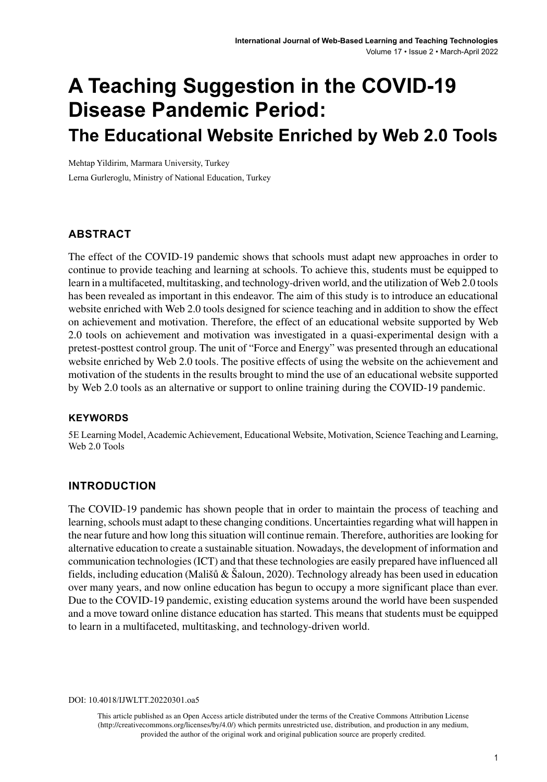# **A Teaching Suggestion in the COVID-19 Disease Pandemic Period: The Educational Website Enriched by Web 2.0 Tools**

Mehtap Yildirim, Marmara University, Turkey Lerna Gurleroglu, Ministry of National Education, Turkey

## **ABSTRACT**

The effect of the COVID-19 pandemic shows that schools must adapt new approaches in order to continue to provide teaching and learning at schools. To achieve this, students must be equipped to learn in a multifaceted, multitasking, and technology-driven world, and the utilization of Web 2.0 tools has been revealed as important in this endeavor. The aim of this study is to introduce an educational website enriched with Web 2.0 tools designed for science teaching and in addition to show the effect on achievement and motivation. Therefore, the effect of an educational website supported by Web 2.0 tools on achievement and motivation was investigated in a quasi-experimental design with a pretest-posttest control group. The unit of "Force and Energy" was presented through an educational website enriched by Web 2.0 tools. The positive effects of using the website on the achievement and motivation of the students in the results brought to mind the use of an educational website supported by Web 2.0 tools as an alternative or support to online training during the COVID-19 pandemic.

#### **Keywords**

5E Learning Model, Academic Achievement, Educational Website, Motivation, Science Teaching and Learning, Web 2.0 Tools

## **INTRODUCTION**

The COVID-19 pandemic has shown people that in order to maintain the process of teaching and learning, schools must adapt to these changing conditions. Uncertainties regarding what will happen in the near future and how long this situation will continue remain. Therefore, authorities are looking for alternative education to create a sustainable situation. Nowadays, the development of information and communication technologies (ICT) and that these technologies are easily prepared have influenced all fields, including education (Mališů & Šaloun, 2020). Technology already has been used in education over many years, and now online education has begun to occupy a more significant place than ever. Due to the COVID-19 pandemic, existing education systems around the world have been suspended and a move toward online distance education has started. This means that students must be equipped to learn in a multifaceted, multitasking, and technology-driven world.

DOI: 10.4018/IJWLTT.20220301.oa5

This article published as an Open Access article distributed under the terms of the Creative Commons Attribution License (http://creativecommons.org/licenses/by/4.0/) which permits unrestricted use, distribution, and production in any medium, provided the author of the original work and original publication source are properly credited.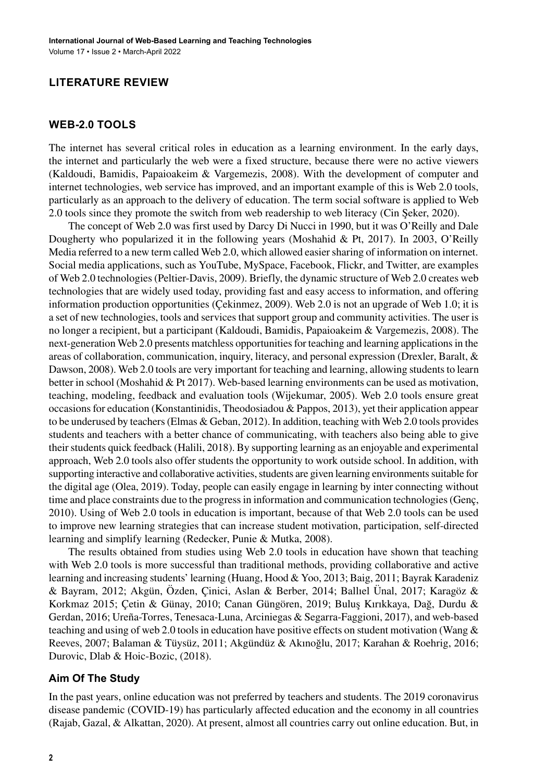## **LITERATURE REVIEW**

## **Web-2.0 Tools**

The internet has several critical roles in education as a learning environment. In the early days, the internet and particularly the web were a fixed structure, because there were no active viewers (Kaldoudi, Bamidis, Papaioakeim & Vargemezis, 2008). With the development of computer and internet technologies, web service has improved, and an important example of this is Web 2.0 tools, particularly as an approach to the delivery of education. The term social software is applied to Web 2.0 tools since they promote the switch from web readership to web literacy (Cin Şeker, 2020).

The concept of Web 2.0 was first used by Darcy Di Nucci in 1990, but it was O'Reilly and Dale Dougherty who popularized it in the following years (Moshahid & Pt, 2017). In 2003, O'Reilly Media referred to a new term called Web 2.0, which allowed easier sharing of information on internet. Social media applications, such as YouTube, MySpace, Facebook, Flickr, and Twitter, are examples of Web 2.0 technologies (Peltier-Davis, 2009). Briefly, the dynamic structure of Web 2.0 creates web technologies that are widely used today, providing fast and easy access to information, and offering information production opportunities (Çekinmez, 2009). Web 2.0 is not an upgrade of Web 1.0; it is a set of new technologies, tools and services that support group and community activities. The user is no longer a recipient, but a participant (Kaldoudi, Bamidis, Papaioakeim & Vargemezis, 2008). The next-generation Web 2.0 presents matchless opportunities for teaching and learning applications in the areas of collaboration, communication, inquiry, literacy, and personal expression (Drexler, Baralt, & Dawson, 2008). Web 2.0 tools are very important for teaching and learning, allowing students to learn better in school (Moshahid & Pt 2017). Web-based learning environments can be used as motivation, teaching, modeling, feedback and evaluation tools (Wijekumar, 2005). Web 2.0 tools ensure great occasions for education (Konstantinidis, Theodosiadou & Pappos, 2013), yet their application appear to be underused by teachers (Elmas & Geban, 2012). In addition, teaching with Web 2.0 tools provides students and teachers with a better chance of communicating, with teachers also being able to give their students quick feedback (Halili, 2018). By supporting learning as an enjoyable and experimental approach, Web 2.0 tools also offer students the opportunity to work outside school. In addition, with supporting interactive and collaborative activities, students are given learning environments suitable for the digital age (Olea, 2019). Today, people can easily engage in learning by inter connecting without time and place constraints due to the progress in information and communication technologies (Genç, 2010). Using of Web 2.0 tools in education is important, because of that Web 2.0 tools can be used to improve new learning strategies that can increase student motivation, participation, self-directed learning and simplify learning (Redecker, Punie & Mutka, 2008).

The results obtained from studies using Web 2.0 tools in education have shown that teaching with Web 2.0 tools is more successful than traditional methods, providing collaborative and active learning and increasing students' learning (Huang, Hood & Yoo, 2013; Baig, 2011; Bayrak Karadeniz & Bayram, 2012; Akgün, Özden, Çinici, Aslan & Berber, 2014; Ballıel Ünal, 2017; Karagöz & Korkmaz 2015; Çetin & Günay, 2010; Canan Güngören, 2019; Buluş Kırıkkaya, Dağ, Durdu & Gerdan, 2016; Ureña-Torres, Tenesaca-Luna, Arciniegas & Segarra-Faggioni, 2017), and web-based teaching and using of web 2.0 tools in education have positive effects on student motivation (Wang & Reeves, 2007; Balaman & Tüysüz, 2011; Akgündüz & Akınoğlu, 2017; Karahan & Roehrig, 2016; Durovic, Dlab & Hoic-Bozic, (2018).

## **Aim Of The Study**

In the past years, online education was not preferred by teachers and students. The 2019 coronavirus disease pandemic (COVID-19) has particularly affected education and the economy in all countries (Rajab, Gazal, & Alkattan, 2020). At present, almost all countries carry out online education. But, in